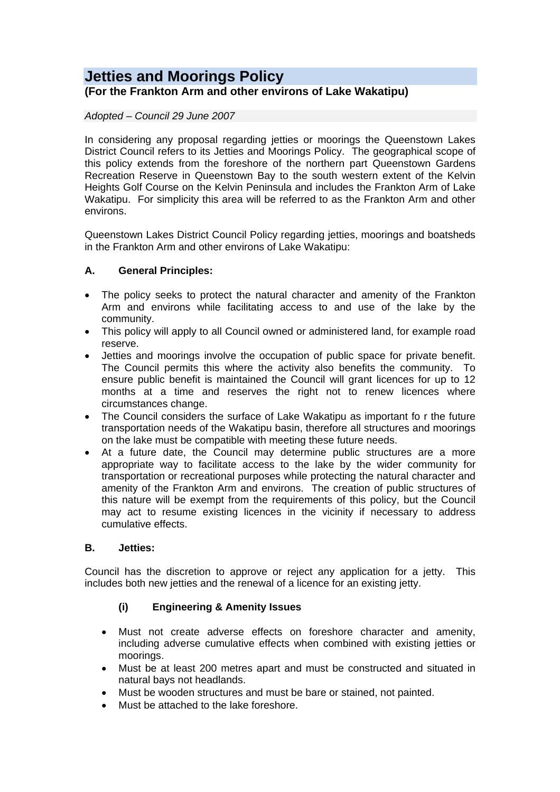# **Jetties and Moorings Policy**

# **(For the Frankton Arm and other environs of Lake Wakatipu)**

#### *Adopted – Council 29 June 2007*

In considering any proposal regarding jetties or moorings the Queenstown Lakes District Council refers to its Jetties and Moorings Policy. The geographical scope of this policy extends from the foreshore of the northern part Queenstown Gardens Recreation Reserve in Queenstown Bay to the south western extent of the Kelvin Heights Golf Course on the Kelvin Peninsula and includes the Frankton Arm of Lake Wakatipu. For simplicity this area will be referred to as the Frankton Arm and other environs.

Queenstown Lakes District Council Policy regarding jetties, moorings and boatsheds in the Frankton Arm and other environs of Lake Wakatipu:

#### **A. General Principles:**

- The policy seeks to protect the natural character and amenity of the Frankton Arm and environs while facilitating access to and use of the lake by the community.
- This policy will apply to all Council owned or administered land, for example road reserve.
- Jetties and moorings involve the occupation of public space for private benefit. The Council permits this where the activity also benefits the community. To ensure public benefit is maintained the Council will grant licences for up to 12 months at a time and reserves the right not to renew licences where circumstances change.
- The Council considers the surface of Lake Wakatipu as important fo r the future transportation needs of the Wakatipu basin, therefore all structures and moorings on the lake must be compatible with meeting these future needs.
- At a future date, the Council may determine public structures are a more appropriate way to facilitate access to the lake by the wider community for transportation or recreational purposes while protecting the natural character and amenity of the Frankton Arm and environs. The creation of public structures of this nature will be exempt from the requirements of this policy, but the Council may act to resume existing licences in the vicinity if necessary to address cumulative effects.

#### **B. Jetties:**

Council has the discretion to approve or reject any application for a jetty. This includes both new jetties and the renewal of a licence for an existing jetty.

## **(i) Engineering & Amenity Issues**

- Must not create adverse effects on foreshore character and amenity, including adverse cumulative effects when combined with existing jetties or moorings.
- Must be at least 200 metres apart and must be constructed and situated in natural bays not headlands.
- Must be wooden structures and must be bare or stained, not painted.
- Must be attached to the lake foreshore.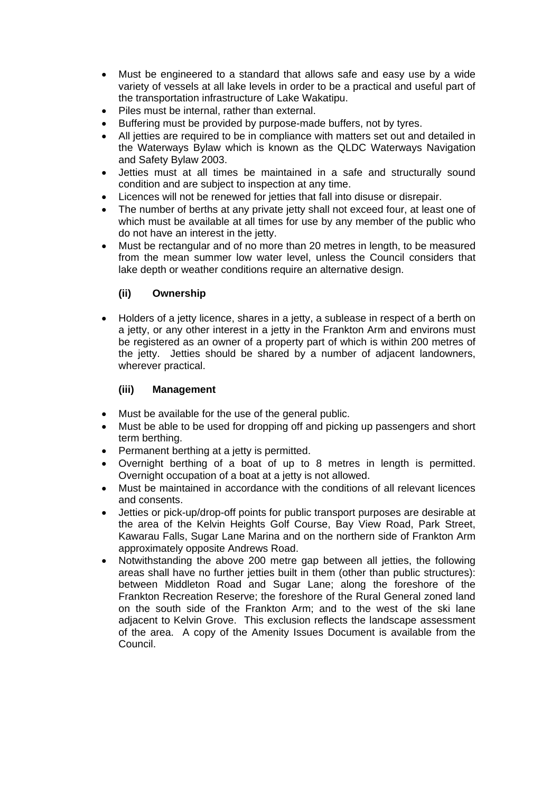- Must be engineered to a standard that allows safe and easy use by a wide variety of vessels at all lake levels in order to be a practical and useful part of the transportation infrastructure of Lake Wakatipu.
- Piles must be internal, rather than external.
- Buffering must be provided by purpose-made buffers, not by tyres.
- All jetties are required to be in compliance with matters set out and detailed in the Waterways Bylaw which is known as the QLDC Waterways Navigation and Safety Bylaw 2003.
- Jetties must at all times be maintained in a safe and structurally sound condition and are subject to inspection at any time.
- Licences will not be renewed for jetties that fall into disuse or disrepair.
- The number of berths at any private jetty shall not exceed four, at least one of which must be available at all times for use by any member of the public who do not have an interest in the jetty.
- Must be rectangular and of no more than 20 metres in length, to be measured from the mean summer low water level, unless the Council considers that lake depth or weather conditions require an alternative design.

#### **(ii) Ownership**

 Holders of a jetty licence, shares in a jetty, a sublease in respect of a berth on a jetty, or any other interest in a jetty in the Frankton Arm and environs must be registered as an owner of a property part of which is within 200 metres of the jetty. Jetties should be shared by a number of adjacent landowners, wherever practical.

#### **(iii) Management**

- Must be available for the use of the general public.
- Must be able to be used for dropping off and picking up passengers and short term berthing.
- Permanent berthing at a jetty is permitted.
- Overnight berthing of a boat of up to 8 metres in length is permitted. Overnight occupation of a boat at a jetty is not allowed.
- Must be maintained in accordance with the conditions of all relevant licences and consents.
- Jetties or pick-up/drop-off points for public transport purposes are desirable at the area of the Kelvin Heights Golf Course, Bay View Road, Park Street, Kawarau Falls, Sugar Lane Marina and on the northern side of Frankton Arm approximately opposite Andrews Road.
- Notwithstanding the above 200 metre gap between all jetties, the following areas shall have no further jetties built in them (other than public structures): between Middleton Road and Sugar Lane; along the foreshore of the Frankton Recreation Reserve; the foreshore of the Rural General zoned land on the south side of the Frankton Arm; and to the west of the ski lane adjacent to Kelvin Grove. This exclusion reflects the landscape assessment of the area. A copy of the Amenity Issues Document is available from the Council.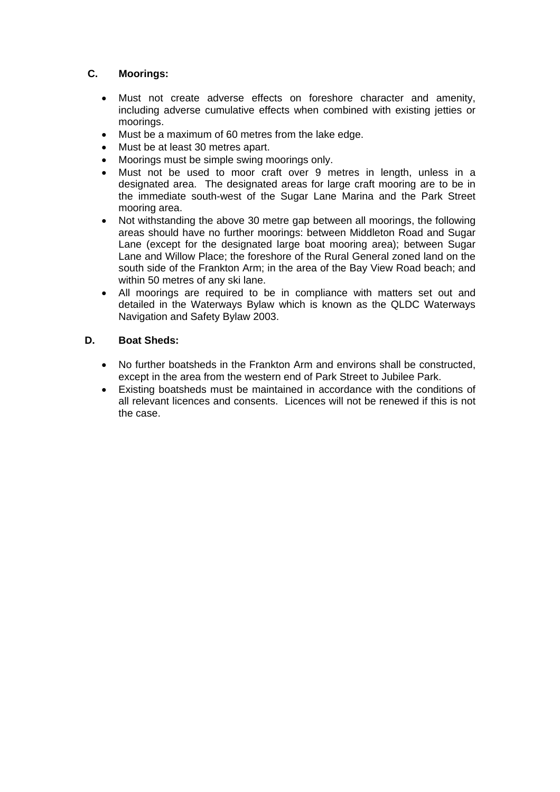## **C. Moorings:**

- Must not create adverse effects on foreshore character and amenity, including adverse cumulative effects when combined with existing jetties or moorings.
- Must be a maximum of 60 metres from the lake edge.
- Must be at least 30 metres apart.
- Moorings must be simple swing moorings only.
- Must not be used to moor craft over 9 metres in length, unless in a designated area. The designated areas for large craft mooring are to be in the immediate south-west of the Sugar Lane Marina and the Park Street mooring area.
- Not withstanding the above 30 metre gap between all moorings, the following areas should have no further moorings: between Middleton Road and Sugar Lane (except for the designated large boat mooring area); between Sugar Lane and Willow Place; the foreshore of the Rural General zoned land on the south side of the Frankton Arm; in the area of the Bay View Road beach; and within 50 metres of any ski lane.
- All moorings are required to be in compliance with matters set out and detailed in the Waterways Bylaw which is known as the QLDC Waterways Navigation and Safety Bylaw 2003.

#### **D. Boat Sheds:**

- No further boatsheds in the Frankton Arm and environs shall be constructed, except in the area from the western end of Park Street to Jubilee Park.
- Existing boatsheds must be maintained in accordance with the conditions of all relevant licences and consents. Licences will not be renewed if this is not the case.